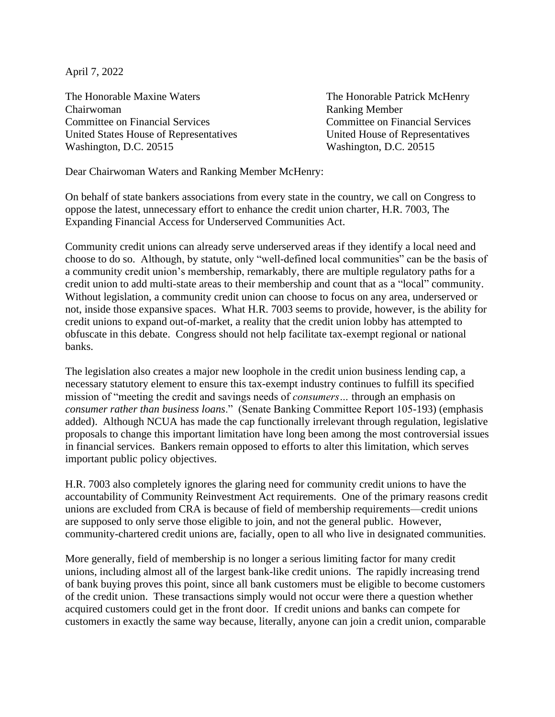April 7, 2022

The Honorable Maxine Waters The Honorable Patrick McHenry Chairwoman Ranking Member Committee on Financial Services Committee on Financial Services United States House of Representatives United House of Representatives Washington, D.C. 20515 Washington, D.C. 20515

Dear Chairwoman Waters and Ranking Member McHenry:

On behalf of state bankers associations from every state in the country, we call on Congress to oppose the latest, unnecessary effort to enhance the credit union charter, H.R. 7003, The Expanding Financial Access for Underserved Communities Act.

Community credit unions can already serve underserved areas if they identify a local need and choose to do so. Although, by statute, only "well-defined local communities" can be the basis of a community credit union's membership, remarkably, there are multiple regulatory paths for a credit union to add multi-state areas to their membership and count that as a "local" community. Without legislation, a community credit union can choose to focus on any area, underserved or not, inside those expansive spaces. What H.R. 7003 seems to provide, however, is the ability for credit unions to expand out-of-market, a reality that the credit union lobby has attempted to obfuscate in this debate. Congress should not help facilitate tax-exempt regional or national banks.

The legislation also creates a major new loophole in the credit union business lending cap, a necessary statutory element to ensure this tax-exempt industry continues to fulfill its specified mission of "meeting the credit and savings needs of *consumers…* through an emphasis on *consumer rather than business loans*." (Senate Banking Committee Report 105-193) (emphasis added). Although NCUA has made the cap functionally irrelevant through regulation, legislative proposals to change this important limitation have long been among the most controversial issues in financial services. Bankers remain opposed to efforts to alter this limitation, which serves important public policy objectives.

H.R. 7003 also completely ignores the glaring need for community credit unions to have the accountability of Community Reinvestment Act requirements. One of the primary reasons credit unions are excluded from CRA is because of field of membership requirements—credit unions are supposed to only serve those eligible to join, and not the general public. However, community-chartered credit unions are, facially, open to all who live in designated communities.

More generally, field of membership is no longer a serious limiting factor for many credit unions, including almost all of the largest bank-like credit unions. The rapidly increasing trend of bank buying proves this point, since all bank customers must be eligible to become customers of the credit union. These transactions simply would not occur were there a question whether acquired customers could get in the front door. If credit unions and banks can compete for customers in exactly the same way because, literally, anyone can join a credit union, comparable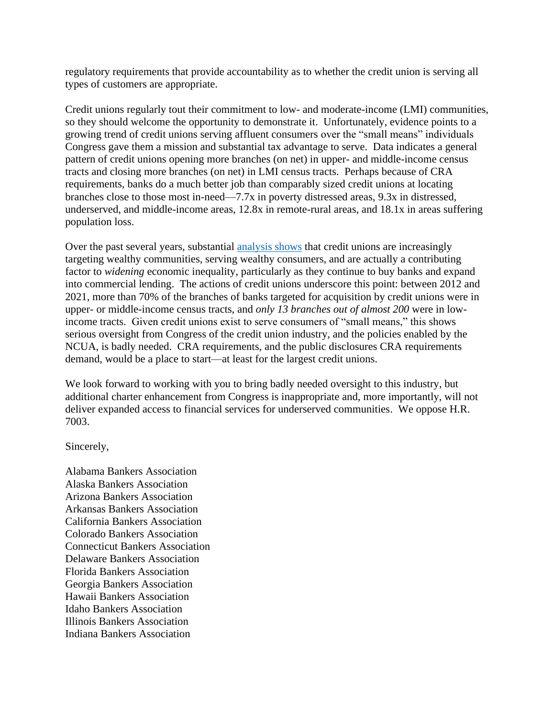regulatory requirements that provide accountability as to whether the credit union is serving all types of customers are appropriate.

Credit unions regularly tout their commitment to low- and moderate-income (LMI) communities, so they should welcome the opportunity to demonstrate it. Unfortunately, evidence points to a growing trend of credit unions serving affluent consumers over the "small means" individuals Congress gave them a mission and substantial tax advantage to serve. Data indicates a general pattern of credit unions opening more branches (on net) in upper- and middle-income census tracts and closing more branches (on net) in LMI census tracts. Perhaps because of CRA requirements, banks do a much better job than comparably sized credit unions at locating branches close to those most in-need—7.7x in poverty distressed areas, 9.3x in distressed, underserved, and middle-income areas, 12.8x in remote-rural areas, and 18.1x in areas suffering population loss.

Over the past several years, substantial [analysis shows](https://fedfin.com/wp-content/uploads/2020/07/FedFin-Paper-The-Credit-Union-Equality-Commitment-An-Analytical-Assessment.pdf) that credit unions are increasingly targeting wealthy communities, serving wealthy consumers, and are actually a contributing factor to *widening* economic inequality, particularly as they continue to buy banks and expand into commercial lending. The actions of credit unions underscore this point: between 2012 and 2021, more than 70% of the branches of banks targeted for acquisition by credit unions were in upper- or middle-income census tracts, and *only 13 branches out of almost 200* were in lowincome tracts. Given credit unions exist to serve consumers of "small means," this shows serious oversight from Congress of the credit union industry, and the policies enabled by the NCUA, is badly needed. CRA requirements, and the public disclosures CRA requirements demand, would be a place to start—at least for the largest credit unions.

We look forward to working with you to bring badly needed oversight to this industry, but additional charter enhancement from Congress is inappropriate and, more importantly, will not deliver expanded access to financial services for underserved communities. We oppose H.R. 7003.

Sincerely,

Alabama Bankers Association Alaska Bankers Association Arizona Bankers Association Arkansas Bankers Association California Bankers Association Colorado Bankers Association Connecticut Bankers Association Delaware Bankers Association Florida Bankers Association Georgia Bankers Association Hawaii Bankers Association Idaho Bankers Association Illinois Bankers Association Indiana Bankers Association